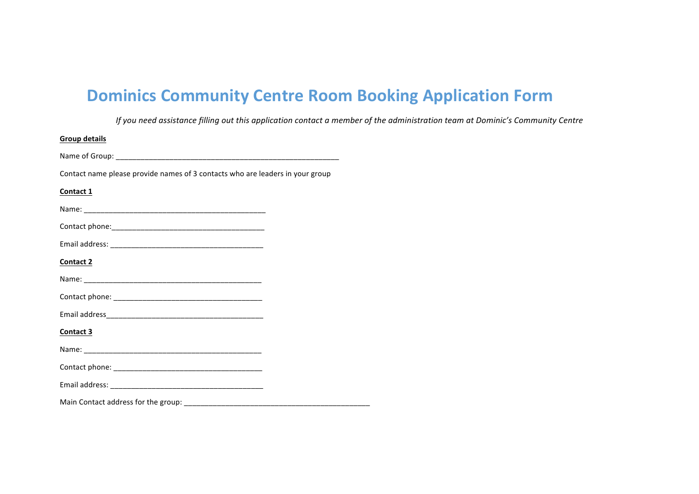# **Dominics Community Centre Room Booking Application Form**

*If* you need assistance filling out this application contact a member of the administration team at Dominic's Community Centre

| <b>Group details</b>                                                          |  |
|-------------------------------------------------------------------------------|--|
|                                                                               |  |
| Contact name please provide names of 3 contacts who are leaders in your group |  |
| Contact 1                                                                     |  |
|                                                                               |  |
|                                                                               |  |
|                                                                               |  |
| Contact 2                                                                     |  |
|                                                                               |  |
|                                                                               |  |
|                                                                               |  |
| Contact 3                                                                     |  |
|                                                                               |  |
|                                                                               |  |
|                                                                               |  |
|                                                                               |  |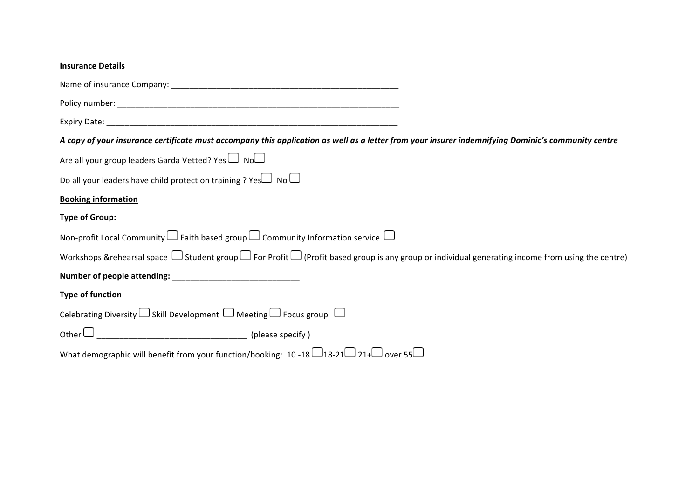| <b>Insurance Details</b>                                                                                                                                          |
|-------------------------------------------------------------------------------------------------------------------------------------------------------------------|
|                                                                                                                                                                   |
|                                                                                                                                                                   |
|                                                                                                                                                                   |
| A copy of your insurance certificate must accompany this application as well as a letter from your insurer indemnifying Dominic's community centre                |
| Are all your group leaders Garda Vetted? Yes $\Box$ No $\Box$                                                                                                     |
| Do all your leaders have child protection training ? Yes $\Box$ No $\Box$                                                                                         |
| <b>Booking information</b>                                                                                                                                        |
| <b>Type of Group:</b>                                                                                                                                             |
| Non-profit Local Community $\Box$ Faith based group $\Box$ Community Information service $\Box$                                                                   |
| Workshops & rehearsal space $\Box$ Student group $\Box$ For Profit $\Box$ (Profit based group is any group or individual generating income from using the centre) |
|                                                                                                                                                                   |
| <b>Type of function</b>                                                                                                                                           |
| Celebrating Diversity $\Box$ Skill Development $\Box$ Meeting $\Box$ Focus group $\Box$                                                                           |
|                                                                                                                                                                   |
| What demographic will benefit from your function/booking: $10 - 18$ -18-21 $\Box$ 21+ $\Box$ over 55 $\Box$                                                       |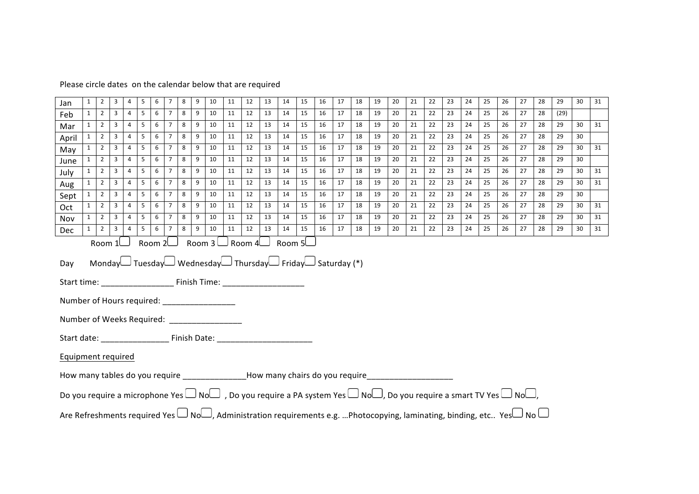## Please circle dates on the calendar below that are required

| Jan                                                                                                                                                                                                                                                          | $\mathbf{1}$ | $\overline{2}$ | 3              | 4              | 5              | 6          | $\overline{7}$ | 8 | 9 | 10 | 11 | 12 | 13 | 14 | 15 | 16 | 17 | 18 | 19 | 20 | 21 | 22 | 23 | 24 | 25 | 26 | 27 | 28 | 29   | 30 | 31 |
|--------------------------------------------------------------------------------------------------------------------------------------------------------------------------------------------------------------------------------------------------------------|--------------|----------------|----------------|----------------|----------------|------------|----------------|---|---|----|----|----|----|----|----|----|----|----|----|----|----|----|----|----|----|----|----|----|------|----|----|
| Feb                                                                                                                                                                                                                                                          | $\mathbf{1}$ | $\overline{2}$ | $\overline{3}$ | $\overline{4}$ | 5 <sup>5</sup> | 6          | $\overline{7}$ | 8 | 9 | 10 | 11 | 12 | 13 | 14 | 15 | 16 | 17 | 18 | 19 | 20 | 21 | 22 | 23 | 24 | 25 | 26 | 27 | 28 | (29) |    |    |
| Mar                                                                                                                                                                                                                                                          | 1            | $\overline{2}$ | $\overline{3}$ | 4              | 5              | 6          | 7              | 8 | 9 | 10 | 11 | 12 | 13 | 14 | 15 | 16 | 17 | 18 | 19 | 20 | 21 | 22 | 23 | 24 | 25 | 26 | 27 | 28 | 29   | 30 | 31 |
| April                                                                                                                                                                                                                                                        | $\mathbf{1}$ | $\overline{2}$ | $\overline{3}$ | $\overline{4}$ | 5              | 6          | $\overline{7}$ | 8 | 9 | 10 | 11 | 12 | 13 | 14 | 15 | 16 | 17 | 18 | 19 | 20 | 21 | 22 | 23 | 24 | 25 | 26 | 27 | 28 | 29   | 30 |    |
| May                                                                                                                                                                                                                                                          | $\mathbf{1}$ | $\overline{2}$ | $\overline{3}$ | $\overline{4}$ | 5              | 6          | $\overline{7}$ | 8 | 9 | 10 | 11 | 12 | 13 | 14 | 15 | 16 | 17 | 18 | 19 | 20 | 21 | 22 | 23 | 24 | 25 | 26 | 27 | 28 | 29   | 30 | 31 |
| June                                                                                                                                                                                                                                                         | 1            | $\overline{2}$ | 3              | 4              | 5              | 6          | $\overline{7}$ | 8 | 9 | 10 | 11 | 12 | 13 | 14 | 15 | 16 | 17 | 18 | 19 | 20 | 21 | 22 | 23 | 24 | 25 | 26 | 27 | 28 | 29   | 30 |    |
| July                                                                                                                                                                                                                                                         | 1            | 2              | $\overline{3}$ | $\overline{4}$ | 5              | 6          | $\overline{7}$ | 8 | 9 | 10 | 11 | 12 | 13 | 14 | 15 | 16 | 17 | 18 | 19 | 20 | 21 | 22 | 23 | 24 | 25 | 26 | 27 | 28 | 29   | 30 | 31 |
| Aug                                                                                                                                                                                                                                                          | $\mathbf{1}$ | $\overline{2}$ | $\overline{3}$ | $\overline{4}$ | 5 <sup>5</sup> | $6-1$      | $\overline{7}$ | 8 | 9 | 10 | 11 | 12 | 13 | 14 | 15 | 16 | 17 | 18 | 19 | 20 | 21 | 22 | 23 | 24 | 25 | 26 | 27 | 28 | 29   | 30 | 31 |
| Sept                                                                                                                                                                                                                                                         | 1            | 2              | 3              | 4              | 5              | 6          | 7              | 8 | 9 | 10 | 11 | 12 | 13 | 14 | 15 | 16 | 17 | 18 | 19 | 20 | 21 | 22 | 23 | 24 | 25 | 26 | 27 | 28 | 29   | 30 |    |
| Oct                                                                                                                                                                                                                                                          | $\mathbf{1}$ | $\overline{2}$ | $\overline{3}$ | $\overline{4}$ | 5              | 6          | $\overline{7}$ | 8 | 9 | 10 | 11 | 12 | 13 | 14 | 15 | 16 | 17 | 18 | 19 | 20 | 21 | 22 | 23 | 24 | 25 | 26 | 27 | 28 | 29   | 30 | 31 |
| Nov                                                                                                                                                                                                                                                          | $\mathbf{1}$ | $\overline{2}$ | $\overline{3}$ | $\overline{4}$ | 5 <sub>1</sub> | $6-1$      | $\overline{7}$ | 8 | 9 | 10 | 11 | 12 | 13 | 14 | 15 | 16 | 17 | 18 | 19 | 20 | 21 | 22 | 23 | 24 | 25 | 26 | 27 | 28 | 29   | 30 | 31 |
| Dec                                                                                                                                                                                                                                                          | $\mathbf{1}$ | 2              | $\overline{3}$ | $\overline{4}$ | 5 <sub>1</sub> | $6 \mid 7$ |                | 8 | 9 | 10 | 11 | 12 | 13 | 14 | 15 | 16 | 17 | 18 | 19 | 20 | 21 | 22 | 23 | 24 | 25 | 26 | 27 | 28 | 29   | 30 | 31 |
| Room $3 \cup$ Room $4 \cup$ Room $5 \cup$<br>Room $2$<br>Room $1$<br>Monday Tuesday Wednesday Thursday Friday Saturday (*)<br>Day<br>Number of Hours required: __________________<br>Equipment required                                                      |              |                |                |                |                |            |                |   |   |    |    |    |    |    |    |    |    |    |    |    |    |    |    |    |    |    |    |    |      |    |    |
| How many tables do you require _______________How many chairs do you require_______________________<br>Do you require a microphone Yes $\Box$ No $\Box$ , Do you require a PA system Yes $\Box$ No $\Box$ , Do you require a smart TV Yes $\Box$ No $\Box$ , |              |                |                |                |                |            |                |   |   |    |    |    |    |    |    |    |    |    |    |    |    |    |    |    |    |    |    |    |      |    |    |
|                                                                                                                                                                                                                                                              |              |                |                |                |                |            |                |   |   |    |    |    |    |    |    |    |    |    |    |    |    |    |    |    |    |    |    |    |      |    |    |
| لسا No الكAre Refreshments required Yes الطoل, Administration requirements e.g. Photocopying, laminating, binding, etc Yes                                                                                                                                   |              |                |                |                |                |            |                |   |   |    |    |    |    |    |    |    |    |    |    |    |    |    |    |    |    |    |    |    |      |    |    |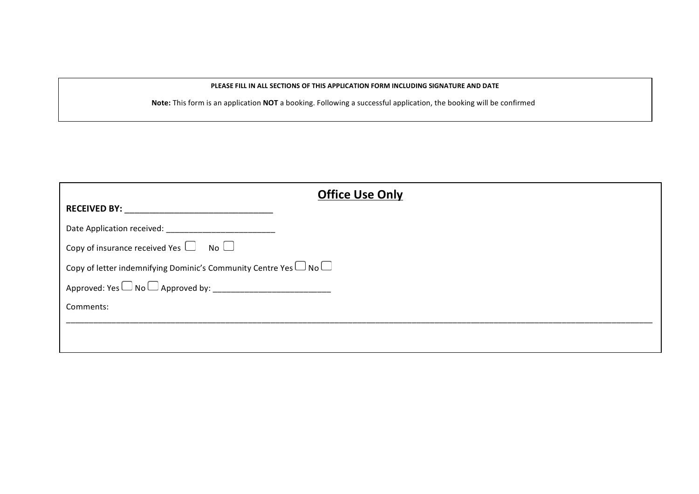#### **PLEASE FILL IN ALL SECTIONS OF THIS APPLICATION FORM INCLUDING SIGNATURE AND DATE**

Note: This form is an application NOT a booking. Following a successful application, the booking will be confirmed

| <b>Office Use Only</b>                                                      |  |  |  |  |  |  |
|-----------------------------------------------------------------------------|--|--|--|--|--|--|
| <b>RECEIVED BY:</b>                                                         |  |  |  |  |  |  |
|                                                                             |  |  |  |  |  |  |
| Copy of insurance received Yes $\Box$ No $\Box$                             |  |  |  |  |  |  |
| Copy of letter indemnifying Dominic's Community Centre Yes $\Box$ No $\Box$ |  |  |  |  |  |  |
| Approved: Yes $\Box$ No $\Box$ Approved by:                                 |  |  |  |  |  |  |
| Comments:                                                                   |  |  |  |  |  |  |
|                                                                             |  |  |  |  |  |  |
|                                                                             |  |  |  |  |  |  |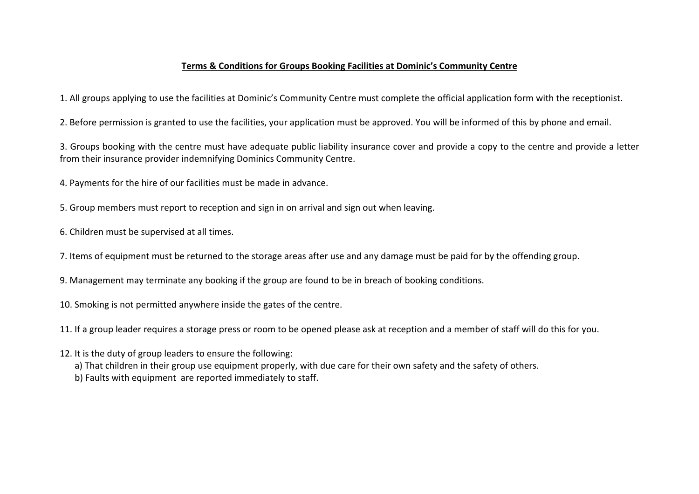### **Terms & Conditions for Groups Booking Facilities at Dominic's Community Centre**

1. All groups applying to use the facilities at Dominic's Community Centre must complete the official application form with the receptionist.

2. Before permission is granted to use the facilities, your application must be approved. You will be informed of this by phone and email.

3. Groups booking with the centre must have adequate public liability insurance cover and provide a copy to the centre and provide a letter from their insurance provider indemnifying Dominics Community Centre.

4. Payments for the hire of our facilities must be made in advance.

5. Group members must report to reception and sign in on arrival and sign out when leaving.

6. Children must be supervised at all times.

7. Items of equipment must be returned to the storage areas after use and any damage must be paid for by the offending group.

9. Management may terminate any booking if the group are found to be in breach of booking conditions.

10. Smoking is not permitted anywhere inside the gates of the centre.

11. If a group leader requires a storage press or room to be opened please ask at reception and a member of staff will do this for you.

12. It is the duty of group leaders to ensure the following:

a) That children in their group use equipment properly, with due care for their own safety and the safety of others.

b) Faults with equipment are reported immediately to staff.